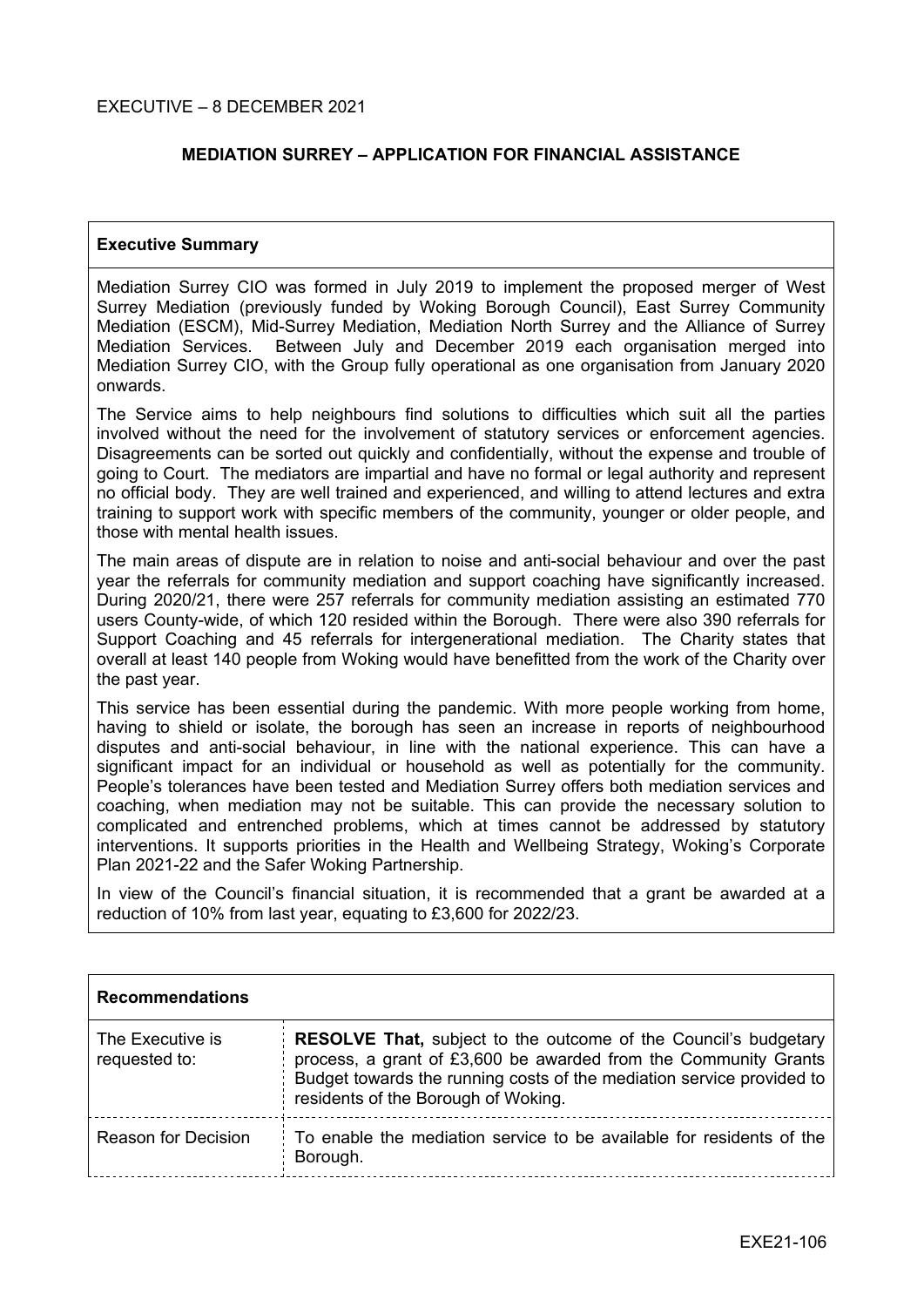## **MEDIATION SURREY – APPLICATION FOR FINANCIAL ASSISTANCE**

### **Executive Summary**

Mediation Surrey CIO was formed in July 2019 to implement the proposed merger of West Surrey Mediation (previously funded by Woking Borough Council), East Surrey Community Mediation (ESCM), Mid-Surrey Mediation, Mediation North Surrey and the Alliance of Surrey Mediation Services. Between July and December 2019 each organisation merged into Mediation Surrey CIO, with the Group fully operational as one organisation from January 2020 onwards.

The Service aims to help neighbours find solutions to difficulties which suit all the parties involved without the need for the involvement of statutory services or enforcement agencies. Disagreements can be sorted out quickly and confidentially, without the expense and trouble of going to Court. The mediators are impartial and have no formal or legal authority and represent no official body. They are well trained and experienced, and willing to attend lectures and extra training to support work with specific members of the community, younger or older people, and those with mental health issues.

The main areas of dispute are in relation to noise and anti-social behaviour and over the past year the referrals for community mediation and support coaching have significantly increased. During 2020/21, there were 257 referrals for community mediation assisting an estimated 770 users County-wide, of which 120 resided within the Borough. There were also 390 referrals for Support Coaching and 45 referrals for intergenerational mediation. The Charity states that overall at least 140 people from Woking would have benefitted from the work of the Charity over the past year.

This service has been essential during the pandemic. With more people working from home, having to shield or isolate, the borough has seen an increase in reports of neighbourhood disputes and anti-social behaviour, in line with the national experience. This can have a significant impact for an individual or household as well as potentially for the community. People's tolerances have been tested and Mediation Surrey offers both mediation services and coaching, when mediation may not be suitable. This can provide the necessary solution to complicated and entrenched problems, which at times cannot be addressed by statutory interventions. It supports priorities in the Health and Wellbeing Strategy, Woking's Corporate Plan 2021-22 and the Safer Woking Partnership.

In view of the Council's financial situation, it is recommended that a grant be awarded at a reduction of 10% from last year, equating to £3,600 for 2022/23.

| <b>Recommendations</b>            |                                                                                                                                                                                                                                                           |  |
|-----------------------------------|-----------------------------------------------------------------------------------------------------------------------------------------------------------------------------------------------------------------------------------------------------------|--|
| The Executive is<br>requested to: | <b>RESOLVE That, subject to the outcome of the Council's budgetary</b><br>process, a grant of £3,600 be awarded from the Community Grants<br>Budget towards the running costs of the mediation service provided to<br>residents of the Borough of Woking. |  |
| <b>Reason for Decision</b>        | To enable the mediation service to be available for residents of the<br>Borough.                                                                                                                                                                          |  |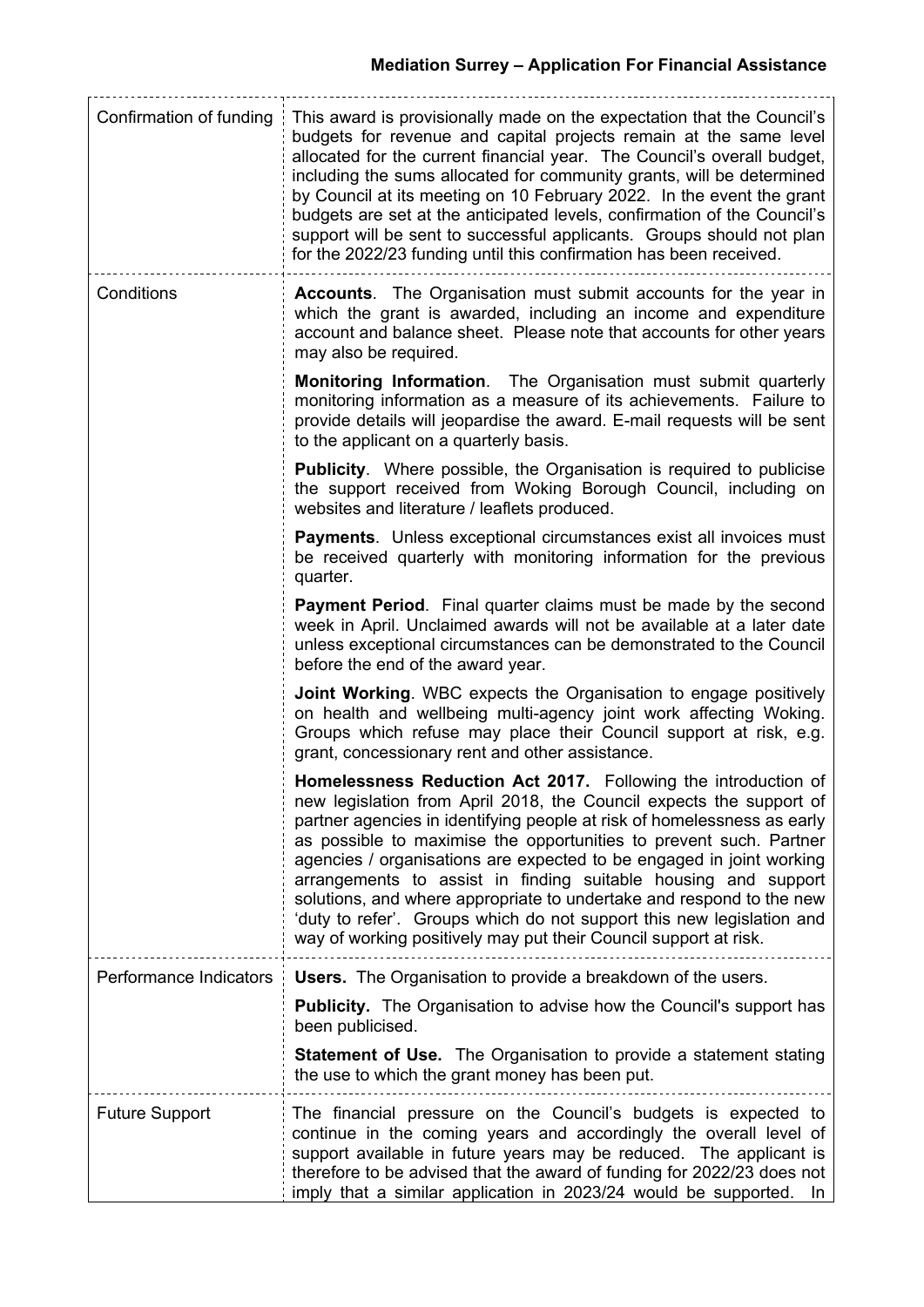# **Mediation Surrey – Application For Financial Assistance**

| Confirmation of funding | This award is provisionally made on the expectation that the Council's<br>budgets for revenue and capital projects remain at the same level<br>allocated for the current financial year. The Council's overall budget,<br>including the sums allocated for community grants, will be determined<br>by Council at its meeting on 10 February 2022. In the event the grant<br>budgets are set at the anticipated levels, confirmation of the Council's<br>support will be sent to successful applicants. Groups should not plan<br>for the 2022/23 funding until this confirmation has been received.                                                   |  |
|-------------------------|-------------------------------------------------------------------------------------------------------------------------------------------------------------------------------------------------------------------------------------------------------------------------------------------------------------------------------------------------------------------------------------------------------------------------------------------------------------------------------------------------------------------------------------------------------------------------------------------------------------------------------------------------------|--|
| Conditions              | <b>Accounts.</b> The Organisation must submit accounts for the year in<br>which the grant is awarded, including an income and expenditure<br>account and balance sheet. Please note that accounts for other years<br>may also be required.                                                                                                                                                                                                                                                                                                                                                                                                            |  |
|                         | <b>Monitoring Information.</b> The Organisation must submit quarterly<br>monitoring information as a measure of its achievements. Failure to<br>provide details will jeopardise the award. E-mail requests will be sent<br>to the applicant on a quarterly basis.                                                                                                                                                                                                                                                                                                                                                                                     |  |
|                         | <b>Publicity.</b> Where possible, the Organisation is required to publicise<br>the support received from Woking Borough Council, including on<br>websites and literature / leaflets produced.                                                                                                                                                                                                                                                                                                                                                                                                                                                         |  |
|                         | <b>Payments.</b> Unless exceptional circumstances exist all invoices must<br>be received quarterly with monitoring information for the previous<br>quarter.                                                                                                                                                                                                                                                                                                                                                                                                                                                                                           |  |
|                         | <b>Payment Period.</b> Final quarter claims must be made by the second<br>week in April. Unclaimed awards will not be available at a later date<br>unless exceptional circumstances can be demonstrated to the Council<br>before the end of the award year.                                                                                                                                                                                                                                                                                                                                                                                           |  |
|                         | <b>Joint Working.</b> WBC expects the Organisation to engage positively<br>on health and wellbeing multi-agency joint work affecting Woking.<br>Groups which refuse may place their Council support at risk, e.g.<br>grant, concessionary rent and other assistance.                                                                                                                                                                                                                                                                                                                                                                                  |  |
|                         | Homelessness Reduction Act 2017. Following the introduction of<br>new legislation from April 2018, the Council expects the support of<br>partner agencies in identifying people at risk of homelessness as early<br>as possible to maximise the opportunities to prevent such. Partner<br>agencies / organisations are expected to be engaged in joint working<br>arrangements to assist in finding suitable housing and support<br>solutions, and where appropriate to undertake and respond to the new<br>'duty to refer'. Groups which do not support this new legislation and<br>way of working positively may put their Council support at risk. |  |
| Performance Indicators  | <b>Users.</b> The Organisation to provide a breakdown of the users.                                                                                                                                                                                                                                                                                                                                                                                                                                                                                                                                                                                   |  |
|                         | <b>Publicity.</b> The Organisation to advise how the Council's support has<br>been publicised.                                                                                                                                                                                                                                                                                                                                                                                                                                                                                                                                                        |  |
|                         | <b>Statement of Use.</b> The Organisation to provide a statement stating<br>the use to which the grant money has been put.                                                                                                                                                                                                                                                                                                                                                                                                                                                                                                                            |  |
| <b>Future Support</b>   | The financial pressure on the Council's budgets is expected to<br>continue in the coming years and accordingly the overall level of<br>support available in future years may be reduced. The applicant is<br>therefore to be advised that the award of funding for 2022/23 does not<br>imply that a similar application in 2023/24 would be supported.<br>In                                                                                                                                                                                                                                                                                          |  |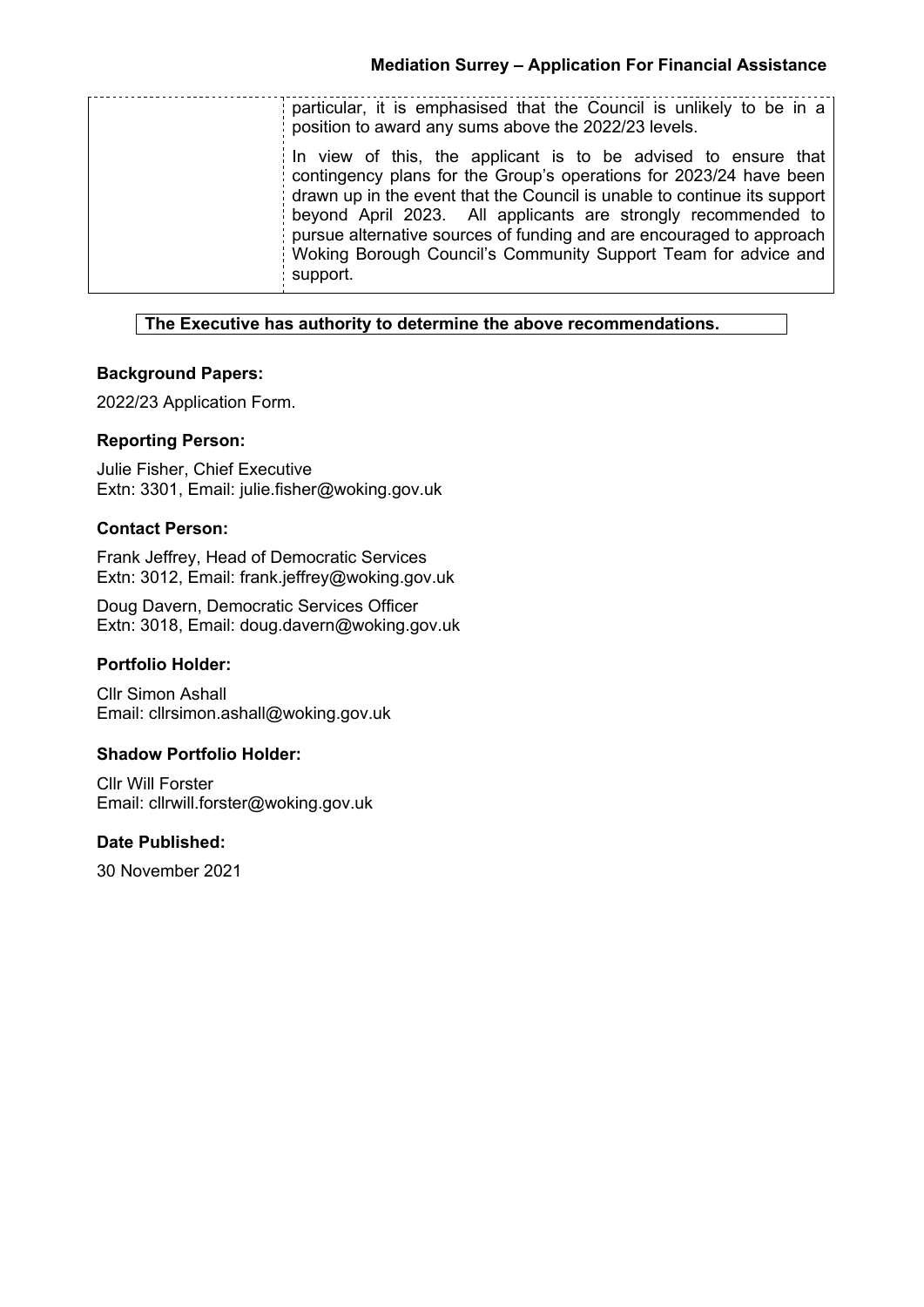| particular, it is emphasised that the Council is unlikely to be in a<br>position to award any sums above the 2022/23 levels.<br>In view of this, the applicant is to be advised to ensure that<br>contingency plans for the Group's operations for 2023/24 have been<br>drawn up in the event that the Council is unable to continue its support<br>beyond April 2023. All applicants are strongly recommended to<br>pursue alternative sources of funding and are encouraged to approach<br>Woking Borough Council's Community Support Team for advice and<br>support. |  |
|-------------------------------------------------------------------------------------------------------------------------------------------------------------------------------------------------------------------------------------------------------------------------------------------------------------------------------------------------------------------------------------------------------------------------------------------------------------------------------------------------------------------------------------------------------------------------|--|
|                                                                                                                                                                                                                                                                                                                                                                                                                                                                                                                                                                         |  |
|                                                                                                                                                                                                                                                                                                                                                                                                                                                                                                                                                                         |  |

## **The Executive has authority to determine the above recommendations.**

## **Background Papers:**

2022/23 Application Form.

#### **Reporting Person:**

Julie Fisher, Chief Executive Extn: 3301, Email: julie.fisher@woking.gov.uk

#### **Contact Person:**

Frank Jeffrey, Head of Democratic Services Extn: 3012, Email: frank.jeffrey@woking.gov.uk

Doug Davern, Democratic Services Officer Extn: 3018, Email: doug.davern@woking.gov.uk

#### **Portfolio Holder:**

Cllr Simon Ashall Email: cllrsimon.ashall@woking.gov.uk

## **Shadow Portfolio Holder:**

Cllr Will Forster Email: cllrwill.forster@woking.gov.uk

#### **Date Published:**

30 November 2021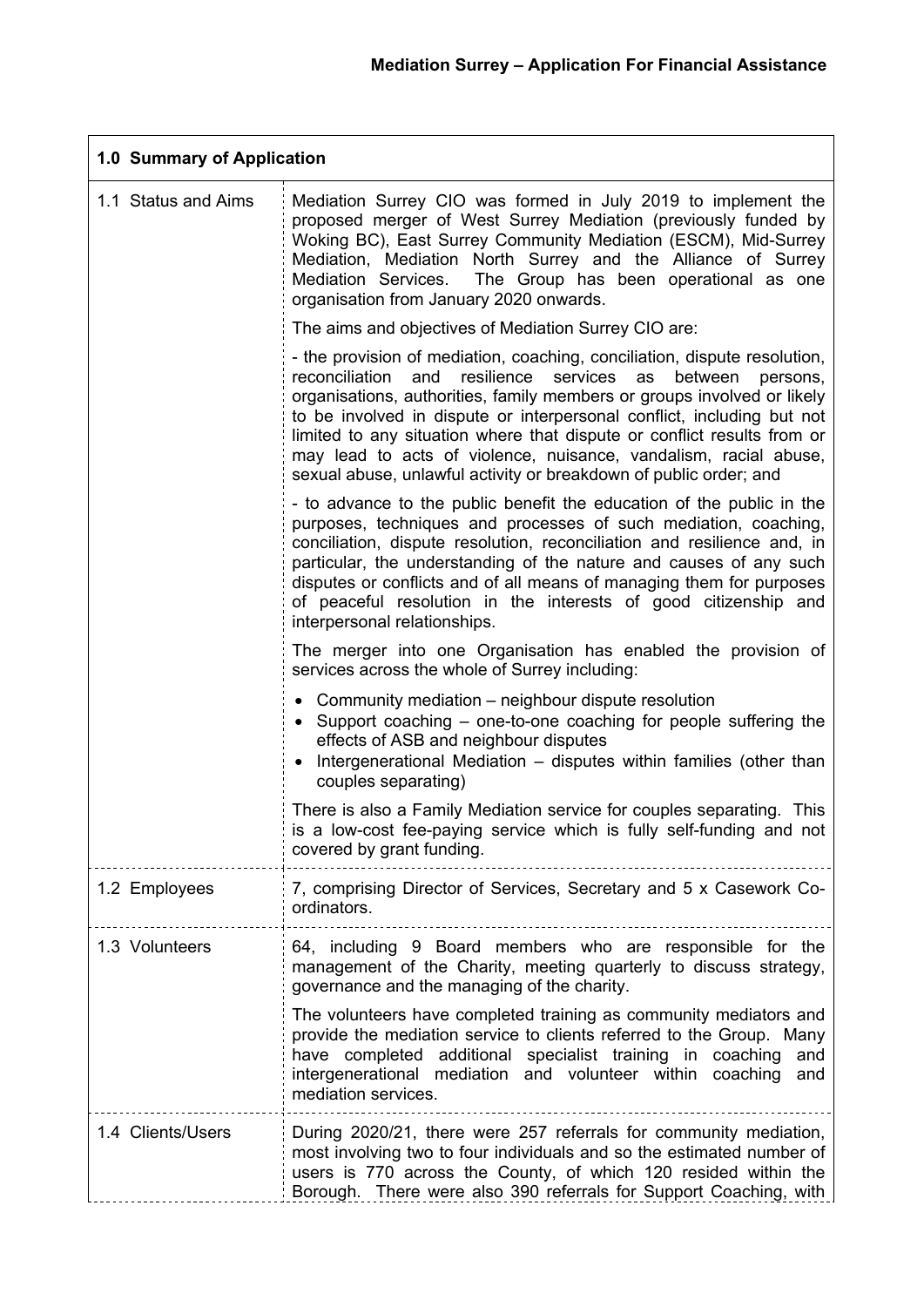| 1.0 Summary of Application |                                                                                                                                                                                                                                                                                                                                                                                                                                                                                                                                    |  |
|----------------------------|------------------------------------------------------------------------------------------------------------------------------------------------------------------------------------------------------------------------------------------------------------------------------------------------------------------------------------------------------------------------------------------------------------------------------------------------------------------------------------------------------------------------------------|--|
| 1.1 Status and Aims        | Mediation Surrey CIO was formed in July 2019 to implement the<br>proposed merger of West Surrey Mediation (previously funded by<br>Woking BC), East Surrey Community Mediation (ESCM), Mid-Surrey<br>Mediation, Mediation North Surrey and the Alliance of Surrey<br>The Group has been operational as one<br>Mediation Services.<br>organisation from January 2020 onwards.                                                                                                                                                       |  |
|                            | The aims and objectives of Mediation Surrey CIO are:                                                                                                                                                                                                                                                                                                                                                                                                                                                                               |  |
|                            | - the provision of mediation, coaching, conciliation, dispute resolution,<br>and<br>resilience<br>services<br>reconciliation<br>as<br>between<br>persons,<br>organisations, authorities, family members or groups involved or likely<br>to be involved in dispute or interpersonal conflict, including but not<br>limited to any situation where that dispute or conflict results from or<br>may lead to acts of violence, nuisance, vandalism, racial abuse,<br>sexual abuse, unlawful activity or breakdown of public order; and |  |
|                            | - to advance to the public benefit the education of the public in the<br>purposes, techniques and processes of such mediation, coaching,<br>conciliation, dispute resolution, reconciliation and resilience and, in<br>particular, the understanding of the nature and causes of any such<br>disputes or conflicts and of all means of managing them for purposes<br>of peaceful resolution in the interests of good citizenship and<br>interpersonal relationships.                                                               |  |
|                            | The merger into one Organisation has enabled the provision of<br>services across the whole of Surrey including:                                                                                                                                                                                                                                                                                                                                                                                                                    |  |
|                            | • Community mediation – neighbour dispute resolution<br>• Support coaching – one-to-one coaching for people suffering the<br>effects of ASB and neighbour disputes<br>• Intergenerational Mediation - disputes within families (other than<br>couples separating)                                                                                                                                                                                                                                                                  |  |
|                            | There is also a Family Mediation service for couples separating. This<br>is a low-cost fee-paying service which is fully self-funding and not<br>covered by grant funding.                                                                                                                                                                                                                                                                                                                                                         |  |
| 1.2 Employees              | 7, comprising Director of Services, Secretary and 5 x Casework Co-<br>ordinators.                                                                                                                                                                                                                                                                                                                                                                                                                                                  |  |
| 1.3 Volunteers             | 64, including 9 Board members who are responsible for the<br>management of the Charity, meeting quarterly to discuss strategy,<br>governance and the managing of the charity.                                                                                                                                                                                                                                                                                                                                                      |  |
|                            | The volunteers have completed training as community mediators and<br>provide the mediation service to clients referred to the Group. Many<br>have completed additional specialist training in coaching<br>and<br>intergenerational mediation and volunteer within<br>coaching<br>and<br>mediation services.                                                                                                                                                                                                                        |  |
| 1.4 Clients/Users          | During 2020/21, there were 257 referrals for community mediation,<br>most involving two to four individuals and so the estimated number of<br>users is 770 across the County, of which 120 resided within the<br>Borough. There were also 390 referrals for Support Coaching, with                                                                                                                                                                                                                                                 |  |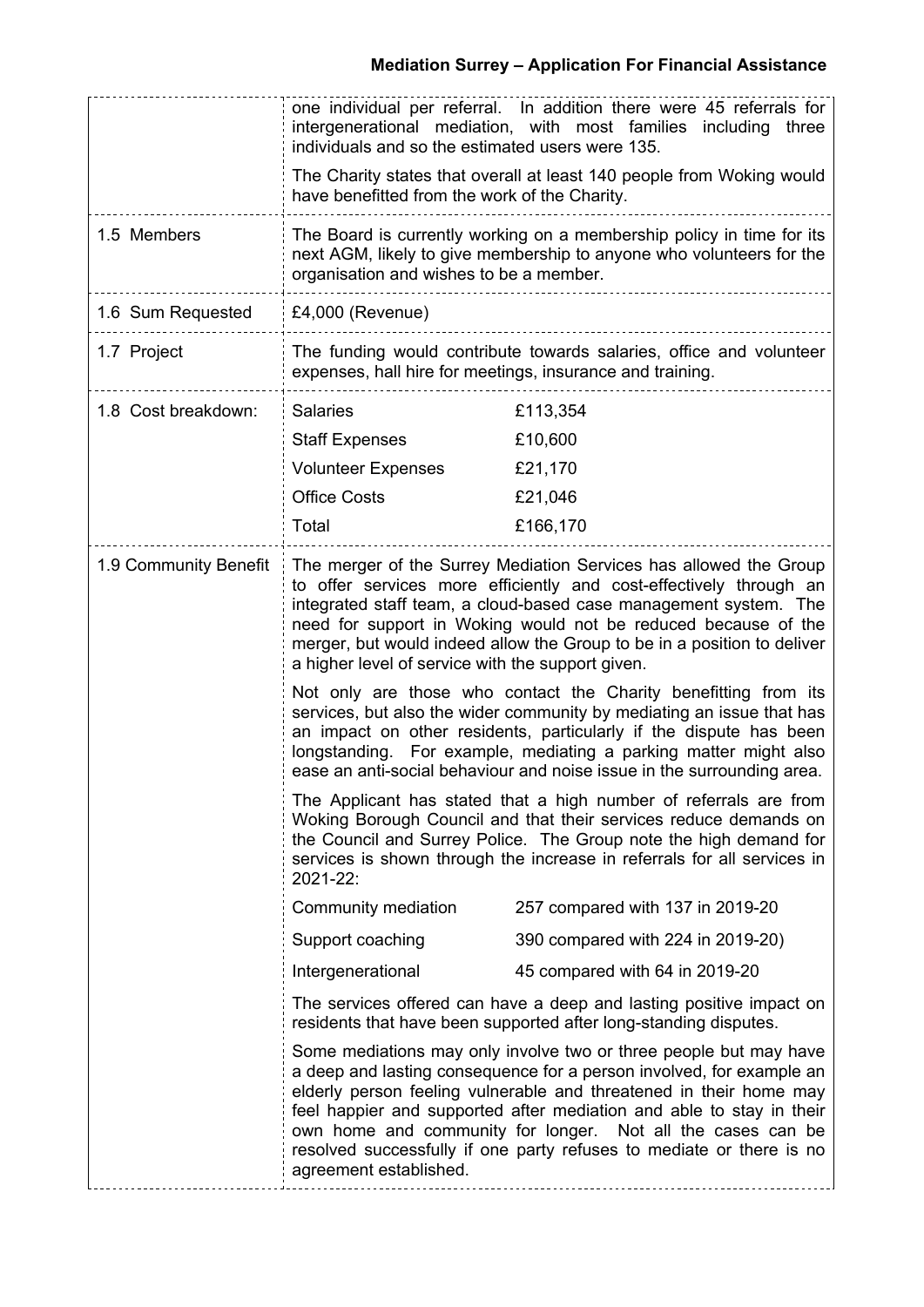|                       | one individual per referral. In addition there were 45 referrals for<br>intergenerational mediation, with most families including three<br>individuals and so the estimated users were 135.                                                                                                                                                                                                                                                              |                                   |  |
|-----------------------|----------------------------------------------------------------------------------------------------------------------------------------------------------------------------------------------------------------------------------------------------------------------------------------------------------------------------------------------------------------------------------------------------------------------------------------------------------|-----------------------------------|--|
|                       | The Charity states that overall at least 140 people from Woking would<br>have benefitted from the work of the Charity.                                                                                                                                                                                                                                                                                                                                   |                                   |  |
| 1.5 Members           | The Board is currently working on a membership policy in time for its<br>next AGM, likely to give membership to anyone who volunteers for the<br>organisation and wishes to be a member.                                                                                                                                                                                                                                                                 |                                   |  |
| 1.6 Sum Requested     | £4,000 (Revenue)                                                                                                                                                                                                                                                                                                                                                                                                                                         |                                   |  |
| 1.7 Project           | The funding would contribute towards salaries, office and volunteer<br>expenses, hall hire for meetings, insurance and training.                                                                                                                                                                                                                                                                                                                         |                                   |  |
| 1.8 Cost breakdown:   | <b>Salaries</b>                                                                                                                                                                                                                                                                                                                                                                                                                                          | £113,354                          |  |
|                       | <b>Staff Expenses</b>                                                                                                                                                                                                                                                                                                                                                                                                                                    | £10,600                           |  |
|                       | <b>Volunteer Expenses</b>                                                                                                                                                                                                                                                                                                                                                                                                                                | £21,170                           |  |
|                       | <b>Office Costs</b>                                                                                                                                                                                                                                                                                                                                                                                                                                      | £21,046                           |  |
|                       | Total                                                                                                                                                                                                                                                                                                                                                                                                                                                    | £166,170                          |  |
| 1.9 Community Benefit | The merger of the Surrey Mediation Services has allowed the Group<br>to offer services more efficiently and cost-effectively through an<br>integrated staff team, a cloud-based case management system. The<br>need for support in Woking would not be reduced because of the<br>merger, but would indeed allow the Group to be in a position to deliver<br>a higher level of service with the support given.                                            |                                   |  |
|                       | Not only are those who contact the Charity benefitting from its<br>services, but also the wider community by mediating an issue that has<br>an impact on other residents, particularly if the dispute has been<br>longstanding. For example, mediating a parking matter might also<br>ease an anti-social behaviour and noise issue in the surrounding area.                                                                                             |                                   |  |
|                       | The Applicant has stated that a high number of referrals are from<br>Woking Borough Council and that their services reduce demands on<br>the Council and Surrey Police. The Group note the high demand for<br>services is shown through the increase in referrals for all services in<br>2021-22:                                                                                                                                                        |                                   |  |
|                       | Community mediation                                                                                                                                                                                                                                                                                                                                                                                                                                      | 257 compared with 137 in 2019-20  |  |
|                       | Support coaching                                                                                                                                                                                                                                                                                                                                                                                                                                         | 390 compared with 224 in 2019-20) |  |
|                       | Intergenerational                                                                                                                                                                                                                                                                                                                                                                                                                                        | 45 compared with 64 in 2019-20    |  |
|                       | The services offered can have a deep and lasting positive impact on<br>residents that have been supported after long-standing disputes.                                                                                                                                                                                                                                                                                                                  |                                   |  |
|                       | Some mediations may only involve two or three people but may have<br>a deep and lasting consequence for a person involved, for example an<br>elderly person feeling vulnerable and threatened in their home may<br>feel happier and supported after mediation and able to stay in their<br>own home and community for longer. Not all the cases can be<br>resolved successfully if one party refuses to mediate or there is no<br>agreement established. |                                   |  |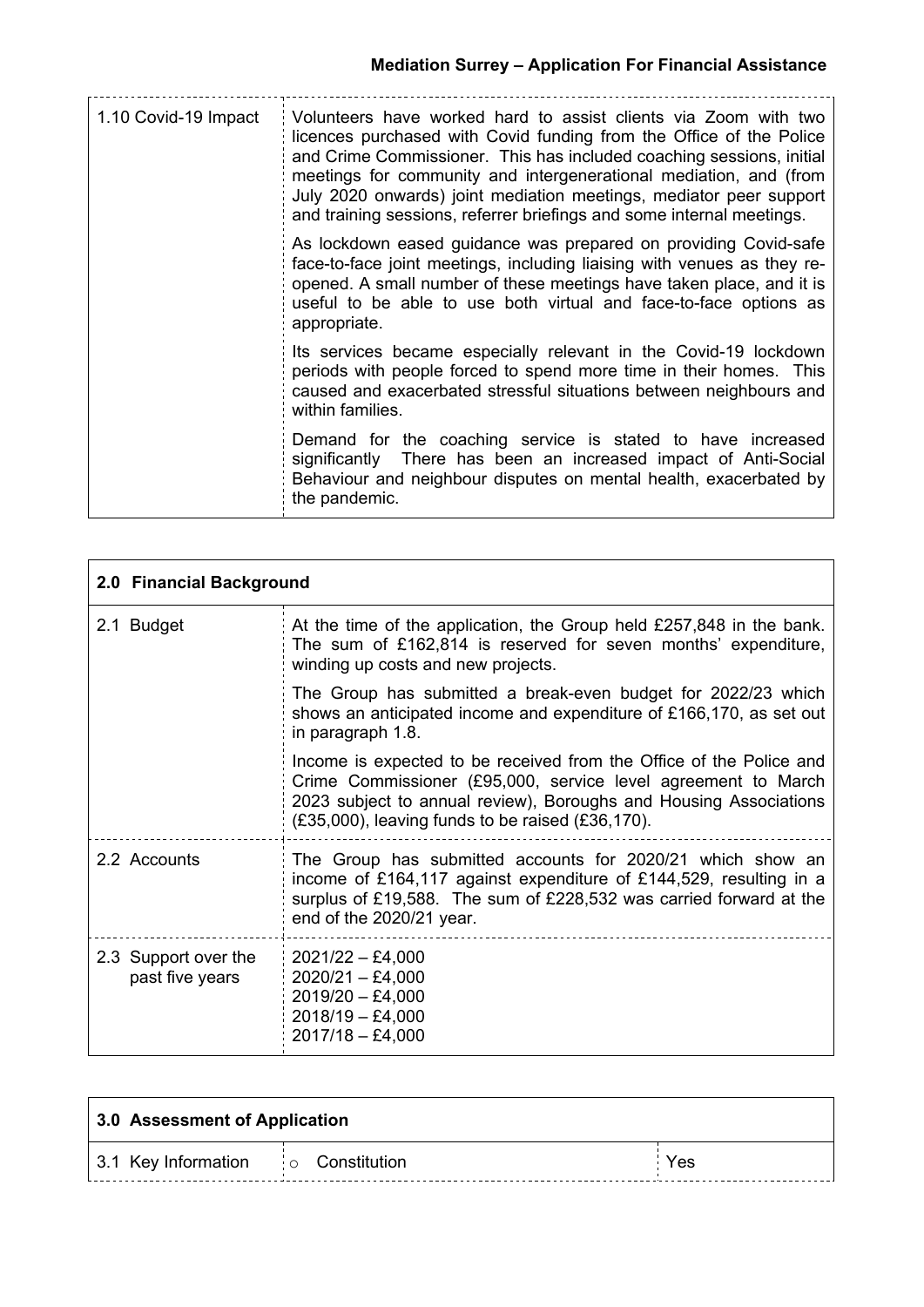| 1.10 Covid-19 Impact | Volunteers have worked hard to assist clients via Zoom with two<br>licences purchased with Covid funding from the Office of the Police<br>and Crime Commissioner. This has included coaching sessions, initial<br>meetings for community and intergenerational mediation, and (from<br>July 2020 onwards) joint mediation meetings, mediator peer support<br>and training sessions, referrer briefings and some internal meetings. |
|----------------------|------------------------------------------------------------------------------------------------------------------------------------------------------------------------------------------------------------------------------------------------------------------------------------------------------------------------------------------------------------------------------------------------------------------------------------|
|                      | As lockdown eased guidance was prepared on providing Covid-safe<br>face-to-face joint meetings, including liaising with venues as they re-<br>opened. A small number of these meetings have taken place, and it is<br>useful to be able to use both virtual and face-to-face options as<br>appropriate.                                                                                                                            |
|                      | Its services became especially relevant in the Covid-19 lockdown<br>periods with people forced to spend more time in their homes. This<br>caused and exacerbated stressful situations between neighbours and<br>within families.                                                                                                                                                                                                   |
|                      | Demand for the coaching service is stated to have increased<br>significantly There has been an increased impact of Anti-Social<br>Behaviour and neighbour disputes on mental health, exacerbated by<br>the pandemic.                                                                                                                                                                                                               |

| 2.0 Financial Background                |                                                                                                                                                                                                                                                                     |  |
|-----------------------------------------|---------------------------------------------------------------------------------------------------------------------------------------------------------------------------------------------------------------------------------------------------------------------|--|
| 2.1 Budget                              | At the time of the application, the Group held £257,848 in the bank.<br>The sum of £162,814 is reserved for seven months' expenditure,<br>winding up costs and new projects.                                                                                        |  |
|                                         | The Group has submitted a break-even budget for 2022/23 which<br>shows an anticipated income and expenditure of £166,170, as set out<br>in paragraph 1.8.                                                                                                           |  |
|                                         | Income is expected to be received from the Office of the Police and<br>Crime Commissioner (£95,000, service level agreement to March<br>2023 subject to annual review), Boroughs and Housing Associations<br>$(E35,000)$ , leaving funds to be raised $(E36,170)$ . |  |
| 2.2 Accounts                            | The Group has submitted accounts for 2020/21 which show an<br>income of £164,117 against expenditure of £144,529, resulting in a<br>surplus of £19,588. The sum of £228,532 was carried forward at the<br>end of the 2020/21 year.                                  |  |
| 2.3 Support over the<br>past five years | $2021/22 - £4,000$<br>$2020/21 - £4,000$<br>$2019/20 - £4,000$<br>$2018/19 - £4,000$<br>$2017/18 - £4,000$                                                                                                                                                          |  |

| 3.0 Assessment of Application           |  |     |
|-----------------------------------------|--|-----|
| 3.1 Key Information $\log$ Constitution |  | Yes |